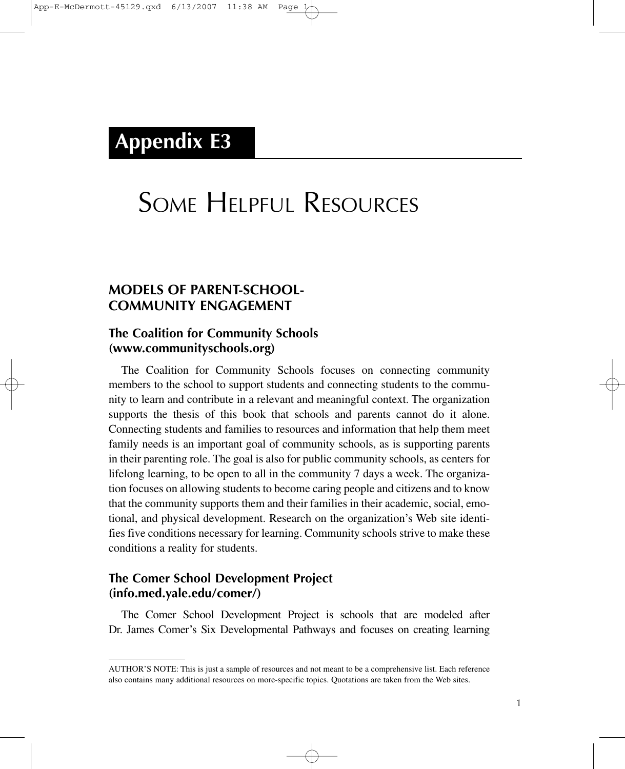## **Appendix E3**

# SOME HELPFUL RESOURCES

## **MODELS OF PARENT-SCHOOL-COMMUNITY ENGAGEMENT**

## **The Coalition for Community Schools (www.communityschools.org)**

The Coalition for Community Schools focuses on connecting community members to the school to support students and connecting students to the community to learn and contribute in a relevant and meaningful context. The organization supports the thesis of this book that schools and parents cannot do it alone. Connecting students and families to resources and information that help them meet family needs is an important goal of community schools, as is supporting parents in their parenting role. The goal is also for public community schools, as centers for lifelong learning, to be open to all in the community 7 days a week. The organization focuses on allowing students to become caring people and citizens and to know that the community supports them and their families in their academic, social, emotional, and physical development. Research on the organization's Web site identifies five conditions necessary for learning. Community schools strive to make these conditions a reality for students.

## **The Comer School Development Project (info.med.yale.edu/comer/)**

The Comer School Development Project is schools that are modeled after Dr. James Comer's Six Developmental Pathways and focuses on creating learning

AUTHOR'S NOTE: This is just a sample of resources and not meant to be a comprehensive list. Each reference also contains many additional resources on more-specific topics. Quotations are taken from the Web sites.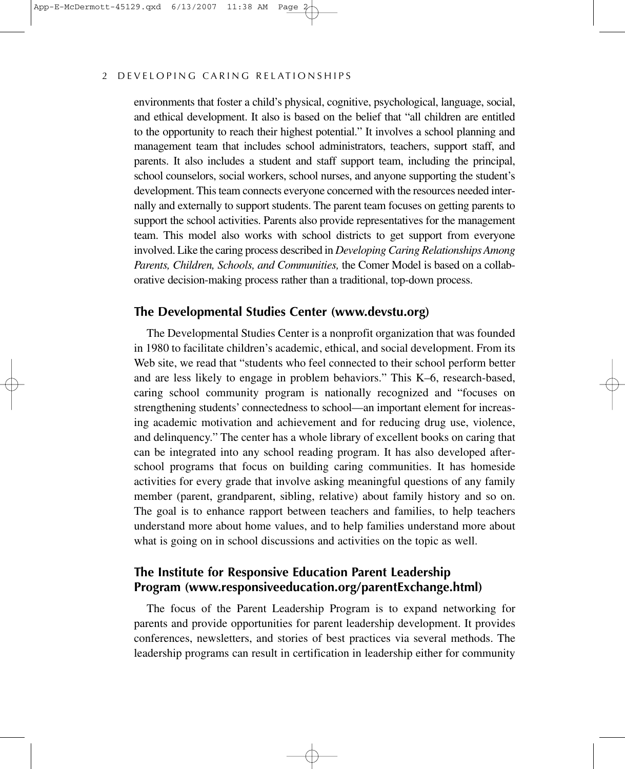#### 2 DEVELOPING CARING RELATIONSHIPS

environments that foster a child's physical, cognitive, psychological, language, social, and ethical development. It also is based on the belief that "all children are entitled to the opportunity to reach their highest potential." It involves a school planning and management team that includes school administrators, teachers, support staff, and parents. It also includes a student and staff support team, including the principal, school counselors, social workers, school nurses, and anyone supporting the student's development. This team connects everyone concerned with the resources needed internally and externally to support students. The parent team focuses on getting parents to support the school activities. Parents also provide representatives for the management team. This model also works with school districts to get support from everyone involved. Like the caring process described in *Developing Caring Relationships Among Parents, Children, Schools, and Communities,* the Comer Model is based on a collaborative decision-making process rather than a traditional, top-down process.

## **The Developmental Studies Center (www.devstu.org)**

The Developmental Studies Center is a nonprofit organization that was founded in 1980 to facilitate children's academic, ethical, and social development. From its Web site, we read that "students who feel connected to their school perform better and are less likely to engage in problem behaviors." This K–6, research-based, caring school community program is nationally recognized and "focuses on strengthening students' connectedness to school—an important element for increasing academic motivation and achievement and for reducing drug use, violence, and delinquency." The center has a whole library of excellent books on caring that can be integrated into any school reading program. It has also developed afterschool programs that focus on building caring communities. It has homeside activities for every grade that involve asking meaningful questions of any family member (parent, grandparent, sibling, relative) about family history and so on. The goal is to enhance rapport between teachers and families, to help teachers understand more about home values, and to help families understand more about what is going on in school discussions and activities on the topic as well.

## **The Institute for Responsive Education Parent Leadership Program (www.responsiveeducation.org/parentExchange.html)**

The focus of the Parent Leadership Program is to expand networking for parents and provide opportunities for parent leadership development. It provides conferences, newsletters, and stories of best practices via several methods. The leadership programs can result in certification in leadership either for community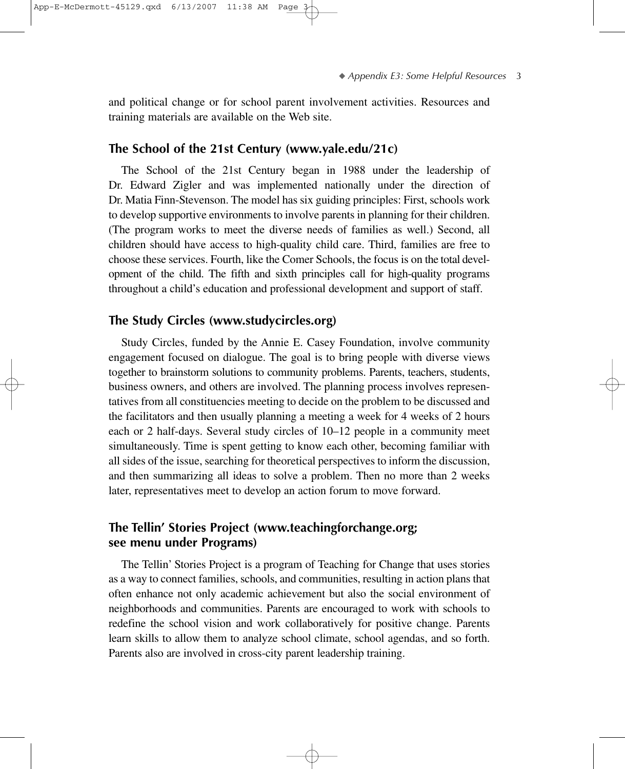and political change or for school parent involvement activities. Resources and training materials are available on the Web site.

#### **The School of the 21st Century (www.yale.edu/21c)**

The School of the 21st Century began in 1988 under the leadership of Dr. Edward Zigler and was implemented nationally under the direction of Dr. Matia Finn-Stevenson. The model has six guiding principles: First, schools work to develop supportive environments to involve parents in planning for their children. (The program works to meet the diverse needs of families as well.) Second, all children should have access to high-quality child care. Third, families are free to choose these services. Fourth, like the Comer Schools, the focus is on the total development of the child. The fifth and sixth principles call for high-quality programs throughout a child's education and professional development and support of staff.

#### **The Study Circles (www.studycircles.org)**

Study Circles, funded by the Annie E. Casey Foundation, involve community engagement focused on dialogue. The goal is to bring people with diverse views together to brainstorm solutions to community problems. Parents, teachers, students, business owners, and others are involved. The planning process involves representatives from all constituencies meeting to decide on the problem to be discussed and the facilitators and then usually planning a meeting a week for 4 weeks of 2 hours each or 2 half-days. Several study circles of 10–12 people in a community meet simultaneously. Time is spent getting to know each other, becoming familiar with all sides of the issue, searching for theoretical perspectives to inform the discussion, and then summarizing all ideas to solve a problem. Then no more than 2 weeks later, representatives meet to develop an action forum to move forward.

## **The Tellin' Stories Project (www.teachingforchange.org; see menu under Programs)**

The Tellin' Stories Project is a program of Teaching for Change that uses stories as a way to connect families, schools, and communities, resulting in action plans that often enhance not only academic achievement but also the social environment of neighborhoods and communities. Parents are encouraged to work with schools to redefine the school vision and work collaboratively for positive change. Parents learn skills to allow them to analyze school climate, school agendas, and so forth. Parents also are involved in cross-city parent leadership training.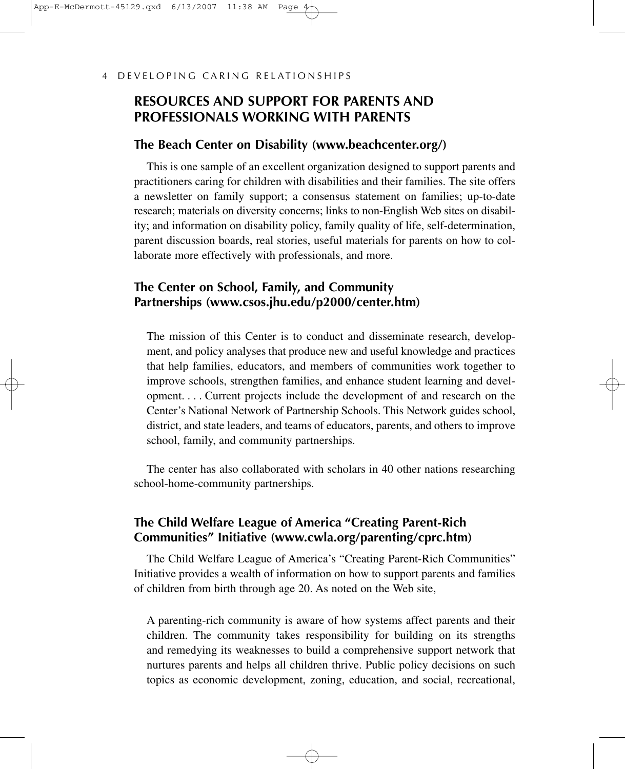## **RESOURCES AND SUPPORT FOR PARENTS AND PROFESSIONALS WORKING WITH PARENTS**

#### **The Beach Center on Disability (www.beachcenter.org/)**

This is one sample of an excellent organization designed to support parents and practitioners caring for children with disabilities and their families. The site offers a newsletter on family support; a consensus statement on families; up-to-date research; materials on diversity concerns; links to non-English Web sites on disability; and information on disability policy, family quality of life, self-determination, parent discussion boards, real stories, useful materials for parents on how to collaborate more effectively with professionals, and more.

## **The Center on School, Family, and Community Partnerships (www.csos.jhu.edu/p2000/center.htm)**

The mission of this Center is to conduct and disseminate research, development, and policy analyses that produce new and useful knowledge and practices that help families, educators, and members of communities work together to improve schools, strengthen families, and enhance student learning and development.... Current projects include the development of and research on the Center's National Network of Partnership Schools. This Network guides school, district, and state leaders, and teams of educators, parents, and others to improve school, family, and community partnerships.

The center has also collaborated with scholars in 40 other nations researching school-home-community partnerships.

## **The Child Welfare League of America "Creating Parent-Rich Communities" Initiative (www.cwla.org/parenting/cprc.htm)**

The Child Welfare League of America's "Creating Parent-Rich Communities" Initiative provides a wealth of information on how to support parents and families of children from birth through age 20. As noted on the Web site,

A parenting-rich community is aware of how systems affect parents and their children. The community takes responsibility for building on its strengths and remedying its weaknesses to build a comprehensive support network that nurtures parents and helps all children thrive. Public policy decisions on such topics as economic development, zoning, education, and social, recreational,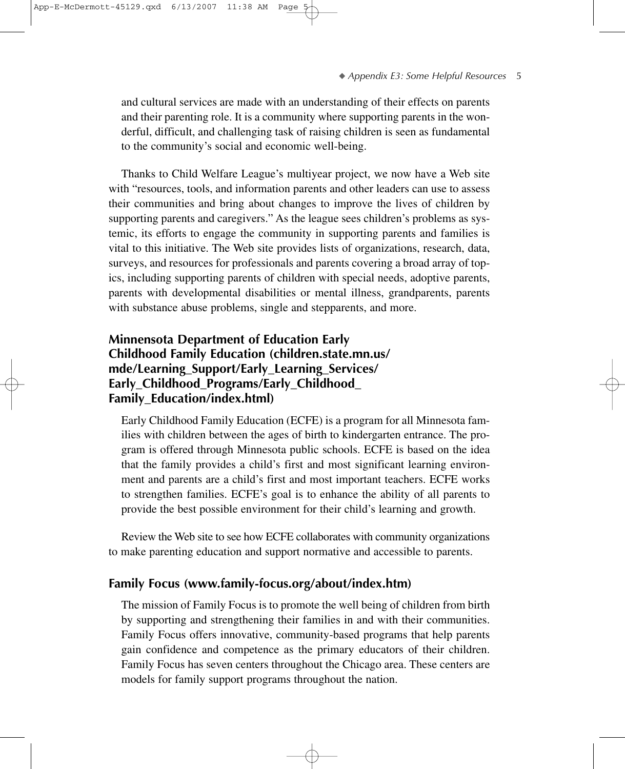and cultural services are made with an understanding of their effects on parents and their parenting role. It is a community where supporting parents in the wonderful, difficult, and challenging task of raising children is seen as fundamental to the community's social and economic well-being.

Thanks to Child Welfare League's multiyear project, we now have a Web site with "resources, tools, and information parents and other leaders can use to assess their communities and bring about changes to improve the lives of children by supporting parents and caregivers." As the league sees children's problems as systemic, its efforts to engage the community in supporting parents and families is vital to this initiative. The Web site provides lists of organizations, research, data, surveys, and resources for professionals and parents covering a broad array of topics, including supporting parents of children with special needs, adoptive parents, parents with developmental disabilities or mental illness, grandparents, parents with substance abuse problems, single and stepparents, and more.

## **Minnensota Department of Education Early Childhood Family Education (children.state.mn.us/ mde/Learning\_Support/Early\_Learning\_Services/ Early\_Childhood\_Programs/Early\_Childhood\_ Family\_Education/index.html)**

Early Childhood Family Education (ECFE) is a program for all Minnesota families with children between the ages of birth to kindergarten entrance. The program is offered through Minnesota public schools. ECFE is based on the idea that the family provides a child's first and most significant learning environment and parents are a child's first and most important teachers. ECFE works to strengthen families. ECFE's goal is to enhance the ability of all parents to provide the best possible environment for their child's learning and growth.

Review the Web site to see how ECFE collaborates with community organizations to make parenting education and support normative and accessible to parents.

## **Family Focus (www.family-focus.org/about/index.htm)**

The mission of Family Focus is to promote the well being of children from birth by supporting and strengthening their families in and with their communities. Family Focus offers innovative, community-based programs that help parents gain confidence and competence as the primary educators of their children. Family Focus has seven centers throughout the Chicago area. These centers are models for family support programs throughout the nation.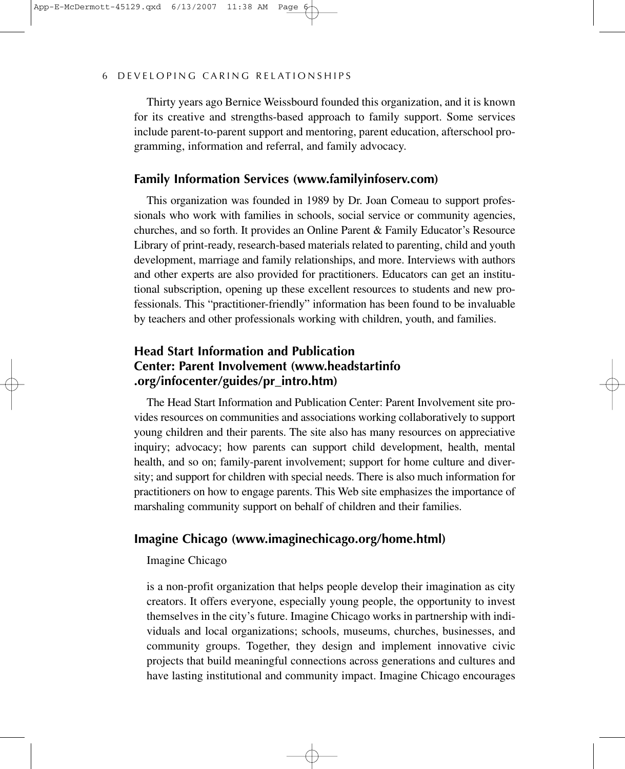Thirty years ago Bernice Weissbourd founded this organization, and it is known for its creative and strengths-based approach to family support. Some services include parent-to-parent support and mentoring, parent education, afterschool programming, information and referral, and family advocacy.

## **Family Information Services (www.familyinfoserv.com)**

This organization was founded in 1989 by Dr. Joan Comeau to support professionals who work with families in schools, social service or community agencies, churches, and so forth. It provides an Online Parent & Family Educator's Resource Library of print-ready, research-based materials related to parenting, child and youth development, marriage and family relationships, and more. Interviews with authors and other experts are also provided for practitioners. Educators can get an institutional subscription, opening up these excellent resources to students and new professionals. This "practitioner-friendly" information has been found to be invaluable by teachers and other professionals working with children, youth, and families.

## **Head Start Information and Publication Center: Parent Involvement (www.headstartinfo .org/infocenter/guides/pr\_intro.htm)**

The Head Start Information and Publication Center: Parent Involvement site provides resources on communities and associations working collaboratively to support young children and their parents. The site also has many resources on appreciative inquiry; advocacy; how parents can support child development, health, mental health, and so on; family-parent involvement; support for home culture and diversity; and support for children with special needs. There is also much information for practitioners on how to engage parents. This Web site emphasizes the importance of marshaling community support on behalf of children and their families.

## **Imagine Chicago (www.imaginechicago.org/home.html)**

#### Imagine Chicago

is a non-profit organization that helps people develop their imagination as city creators. It offers everyone, especially young people, the opportunity to invest themselves in the city's future. Imagine Chicago works in partnership with individuals and local organizations; schools, museums, churches, businesses, and community groups. Together, they design and implement innovative civic projects that build meaningful connections across generations and cultures and have lasting institutional and community impact. Imagine Chicago encourages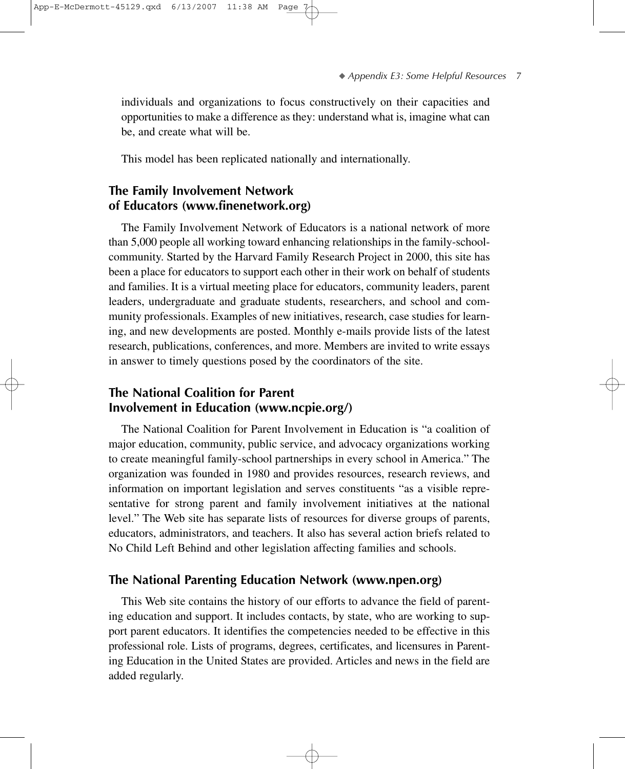individuals and organizations to focus constructively on their capacities and opportunities to make a difference as they: understand what is, imagine what can be, and create what will be.

This model has been replicated nationally and internationally.

## **The Family Involvement Network of Educators (www.finenetwork.org)**

The Family Involvement Network of Educators is a national network of more than 5,000 people all working toward enhancing relationships in the family-schoolcommunity. Started by the Harvard Family Research Project in 2000, this site has been a place for educators to support each other in their work on behalf of students and families. It is a virtual meeting place for educators, community leaders, parent leaders, undergraduate and graduate students, researchers, and school and community professionals. Examples of new initiatives, research, case studies for learning, and new developments are posted. Monthly e-mails provide lists of the latest research, publications, conferences, and more. Members are invited to write essays in answer to timely questions posed by the coordinators of the site.

## **The National Coalition for Parent Involvement in Education (www.ncpie.org/)**

The National Coalition for Parent Involvement in Education is "a coalition of major education, community, public service, and advocacy organizations working to create meaningful family-school partnerships in every school in America." The organization was founded in 1980 and provides resources, research reviews, and information on important legislation and serves constituents "as a visible representative for strong parent and family involvement initiatives at the national level." The Web site has separate lists of resources for diverse groups of parents, educators, administrators, and teachers. It also has several action briefs related to No Child Left Behind and other legislation affecting families and schools.

#### **The National Parenting Education Network (www.npen.org)**

This Web site contains the history of our efforts to advance the field of parenting education and support. It includes contacts, by state, who are working to support parent educators. It identifies the competencies needed to be effective in this professional role. Lists of programs, degrees, certificates, and licensures in Parenting Education in the United States are provided. Articles and news in the field are added regularly.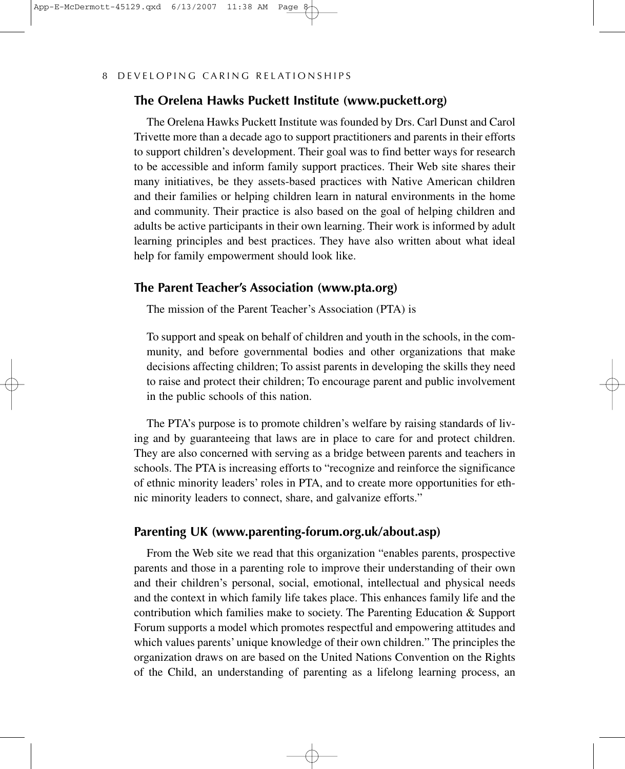#### **The Orelena Hawks Puckett Institute (www.puckett.org)**

The Orelena Hawks Puckett Institute was founded by Drs. Carl Dunst and Carol Trivette more than a decade ago to support practitioners and parents in their efforts to support children's development. Their goal was to find better ways for research to be accessible and inform family support practices. Their Web site shares their many initiatives, be they assets-based practices with Native American children and their families or helping children learn in natural environments in the home and community. Their practice is also based on the goal of helping children and adults be active participants in their own learning. Their work is informed by adult learning principles and best practices. They have also written about what ideal help for family empowerment should look like.

#### **The Parent Teacher's Association (www.pta.org)**

The mission of the Parent Teacher's Association (PTA) is

To support and speak on behalf of children and youth in the schools, in the community, and before governmental bodies and other organizations that make decisions affecting children; To assist parents in developing the skills they need to raise and protect their children; To encourage parent and public involvement in the public schools of this nation.

The PTA's purpose is to promote children's welfare by raising standards of living and by guaranteeing that laws are in place to care for and protect children. They are also concerned with serving as a bridge between parents and teachers in schools. The PTA is increasing efforts to "recognize and reinforce the significance of ethnic minority leaders' roles in PTA, and to create more opportunities for ethnic minority leaders to connect, share, and galvanize efforts."

## **Parenting UK (www.parenting-forum.org.uk/about.asp)**

From the Web site we read that this organization "enables parents, prospective parents and those in a parenting role to improve their understanding of their own and their children's personal, social, emotional, intellectual and physical needs and the context in which family life takes place. This enhances family life and the contribution which families make to society. The Parenting Education & Support Forum supports a model which promotes respectful and empowering attitudes and which values parents' unique knowledge of their own children." The principles the organization draws on are based on the United Nations Convention on the Rights of the Child, an understanding of parenting as a lifelong learning process, an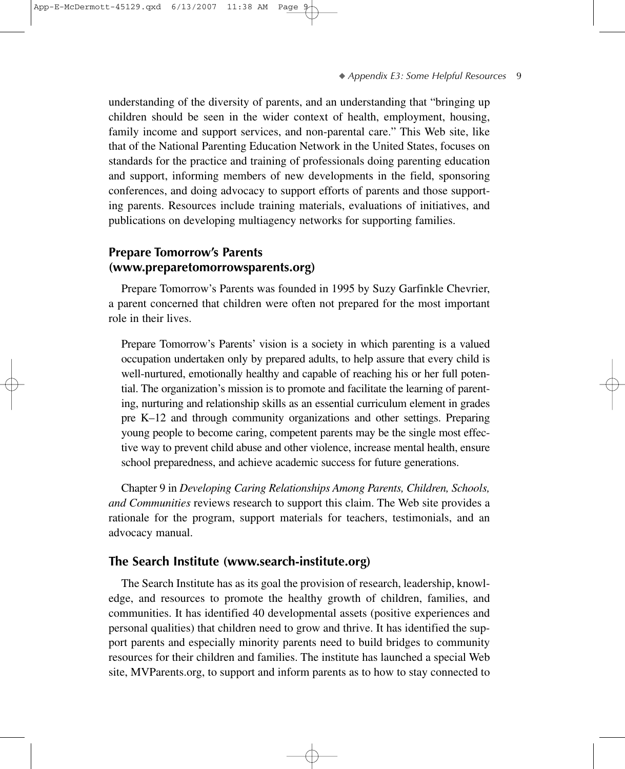understanding of the diversity of parents, and an understanding that "bringing up children should be seen in the wider context of health, employment, housing, family income and support services, and non-parental care." This Web site, like that of the National Parenting Education Network in the United States, focuses on standards for the practice and training of professionals doing parenting education and support, informing members of new developments in the field, sponsoring conferences, and doing advocacy to support efforts of parents and those supporting parents. Resources include training materials, evaluations of initiatives, and publications on developing multiagency networks for supporting families.

#### **Prepare Tomorrow's Parents (www.preparetomorrowsparents.org)**

Prepare Tomorrow's Parents was founded in 1995 by Suzy Garfinkle Chevrier, a parent concerned that children were often not prepared for the most important role in their lives.

Prepare Tomorrow's Parents' vision is a society in which parenting is a valued occupation undertaken only by prepared adults, to help assure that every child is well-nurtured, emotionally healthy and capable of reaching his or her full potential. The organization's mission is to promote and facilitate the learning of parenting, nurturing and relationship skills as an essential curriculum element in grades pre K–12 and through community organizations and other settings. Preparing young people to become caring, competent parents may be the single most effective way to prevent child abuse and other violence, increase mental health, ensure school preparedness, and achieve academic success for future generations.

Chapter 9 in *Developing Caring Relationships Among Parents, Children, Schools, and Communities* reviews research to support this claim. The Web site provides a rationale for the program, support materials for teachers, testimonials, and an advocacy manual.

#### **The Search Institute (www.search-institute.org)**

The Search Institute has as its goal the provision of research, leadership, knowledge, and resources to promote the healthy growth of children, families, and communities. It has identified 40 developmental assets (positive experiences and personal qualities) that children need to grow and thrive. It has identified the support parents and especially minority parents need to build bridges to community resources for their children and families. The institute has launched a special Web site, MVParents.org, to support and inform parents as to how to stay connected to